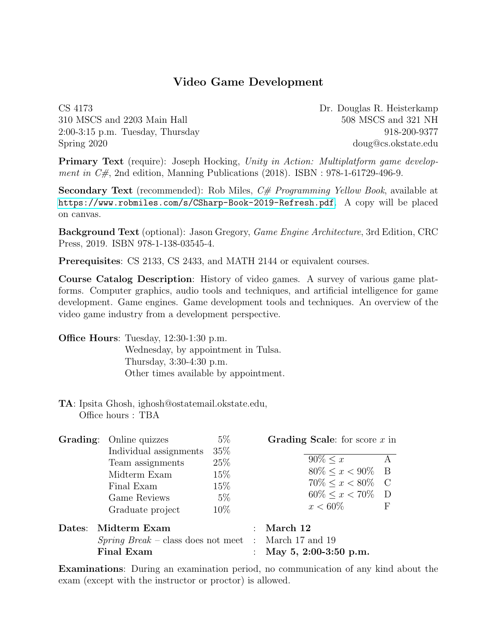## Video Game Development

CS 4173 Dr. Douglas R. Heisterkamp 310 MSCS and 2203 Main Hall 508 MSCS and 321 NH 2:00-3:15 p.m. Tuesday, Thursday 918-200-9377 Spring 2020 doug@cs.okstate.edu

Primary Text (require): Joseph Hocking, Unity in Action: Multiplatform game development in  $C\#$ , 2nd edition, Manning Publications (2018). ISBN : 978-1-61729-496-9.

Secondary Text (recommended): Rob Miles,  $C \#$  *Programming Yellow Book*, available at <https://www.robmiles.com/s/CSharp-Book-2019-Refresh.pdf>. A copy will be placed on canvas.

Background Text (optional): Jason Gregory, Game Engine Architecture, 3rd Edition, CRC Press, 2019. ISBN 978-1-138-03545-4.

Prerequisites: CS 2133, CS 2433, and MATH 2144 or equivalent courses.

Course Catalog Description: History of video games. A survey of various game platforms. Computer graphics, audio tools and techniques, and artificial intelligence for game development. Game engines. Game development tools and techniques. An overview of the video game industry from a development perspective.

Office Hours: Tuesday, 12:30-1:30 p.m. Wednesday, by appointment in Tulsa. Thursday, 3:30-4:30 p.m. Other times available by appointment.

TA: Ipsita Ghosh, ighosh@ostatemail.okstate.edu, Office hours : TBA

|        | <b>Grading:</b> Online quizzes         | $5\%$  | Grading Scale: for score $x$ in |     |
|--------|----------------------------------------|--------|---------------------------------|-----|
|        | Individual assignments                 | 35\%   |                                 |     |
|        | Team assignments                       | 25\%   | $90\% < x$                      | A   |
|        | Midterm Exam                           | 15\%   | $80\% \leq x < 90\%$            | - B |
|        | Final Exam                             | 15\%   | $70\% < x < 80\%$ C             |     |
|        | Game Reviews                           | $5\%$  | $60\% \leq x < 70\%$ D          |     |
|        | Graduate project                       | $10\%$ | $x < 60\%$                      | F   |
| Dates: | Midterm Exam                           |        | March 12                        |     |
|        | $Spring~Break - class$ does not meet : |        | March 17 and 19                 |     |
|        | <b>Final Exam</b>                      |        | May 5, 2:00-3:50 p.m.           |     |

Examinations: During an examination period, no communication of any kind about the exam (except with the instructor or proctor) is allowed.